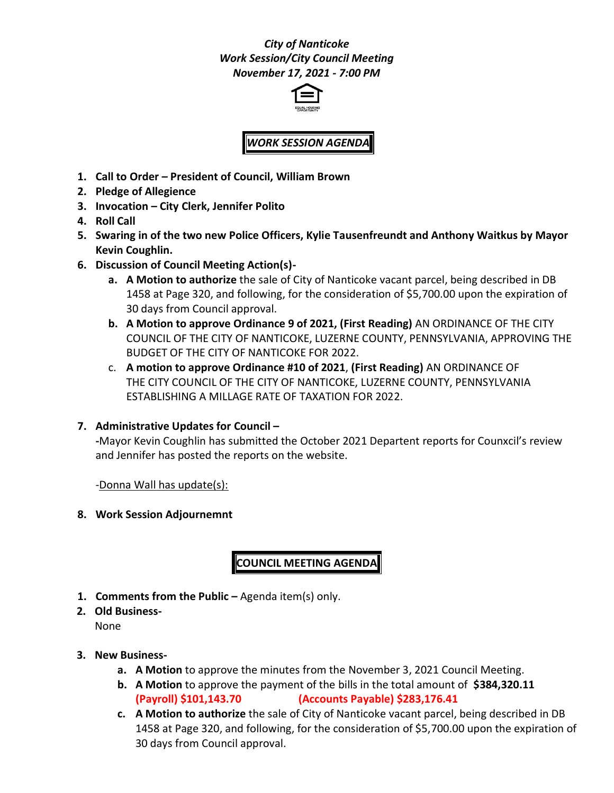## *City of Nanticoke Work Session/City Council Meeting November 17, 2021 - 7:00 PM*



## *WORK SESSION AGENDA*

- **1. Call to Order – President of Council, William Brown**
- **2. Pledge of Allegience**
- **3. Invocation – City Clerk, Jennifer Polito**
- **4. Roll Call**
- **5. Swaring in of the two new Police Officers, Kylie Tausenfreundt and Anthony Waitkus by Mayor Kevin Coughlin.**
- **6. Discussion of Council Meeting Action(s)**
	- **a. A Motion to authorize** the sale of City of Nanticoke vacant parcel, being described in DB 1458 at Page 320, and following, for the consideration of \$5,700.00 upon the expiration of 30 days from Council approval.
	- **b. A Motion to approve Ordinance 9 of 2021, (First Reading)** AN ORDINANCE OF THE CITY COUNCIL OF THE CITY OF NANTICOKE, LUZERNE COUNTY, PENNSYLVANIA, APPROVING THE BUDGET OF THE CITY OF NANTICOKE FOR 2022.
	- c. **A motion to approve Ordinance #10 of 2021**, **(First Reading)** AN ORDINANCE OF THE CITY COUNCIL OF THE CITY OF NANTICOKE, LUZERNE COUNTY, PENNSYLVANIA ESTABLISHING A MILLAGE RATE OF TAXATION FOR 2022.
- **7. Administrative Updates for Council –**

**-**Mayor Kevin Coughlin has submitted the October 2021 Departent reports for Counxcil's review and Jennifer has posted the reports on the website.

-Donna Wall has update(s):

**8. Work Session Adjournemnt**

**COUNCIL MEETING AGENDA**

- **1. Comments from the Public –** Agenda item(s) only.
- **2. Old Business-**

None

- **3. New Business**
	- **a. A Motion** to approve the minutes from the November 3, 2021 Council Meeting.
	- **b. A Motion** to approve the payment of the bills in the total amount of **\$384,320.11 (Payroll) \$101,143.70 (Accounts Payable) \$283,176.41**
	- **c. A Motion to authorize** the sale of City of Nanticoke vacant parcel, being described in DB 1458 at Page 320, and following, for the consideration of \$5,700.00 upon the expiration of 30 days from Council approval.